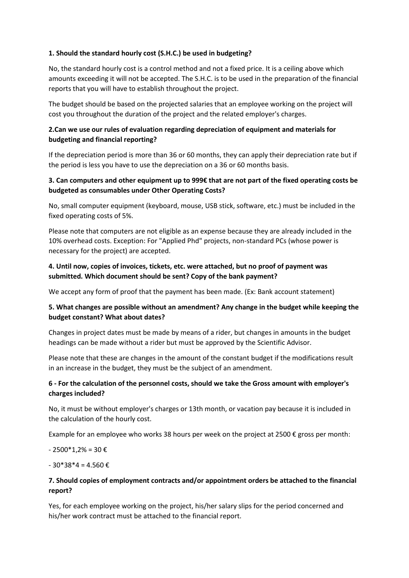### **1. Should the standard hourly cost (S.H.C.) be used in budgeting?**

No, the standard hourly cost is a control method and not a fixed price. It is a ceiling above which amounts exceeding it will not be accepted. The S.H.C. is to be used in the preparation of the financial reports that you will have to establish throughout the project.

The budget should be based on the projected salaries that an employee working on the project will cost you throughout the duration of the project and the related employer's charges.

# **2.Can we use our rules of evaluation regarding depreciation of equipment and materials for budgeting and financial reporting?**

If the depreciation period is more than 36 or 60 months, they can apply their depreciation rate but if the period is less you have to use the depreciation on a 36 or 60 months basis.

## **3. Can computers and other equipment up to 999€ that are not part of the fixed operating costs be budgeted as consumables under Other Operating Costs?**

No, small computer equipment (keyboard, mouse, USB stick, software, etc.) must be included in the fixed operating costs of 5%.

Please note that computers are not eligible as an expense because they are already included in the 10% overhead costs. Exception: For "Applied Phd" projects, non-standard PCs (whose power is necessary for the project) are accepted.

## **4. Until now, copies of invoices, tickets, etc. were attached, but no proof of payment was submitted. Which document should be sent? Copy of the bank payment?**

We accept any form of proof that the payment has been made. (Ex: Bank account statement)

## **5. What changes are possible without an amendment? Any change in the budget while keeping the budget constant? What about dates?**

Changes in project dates must be made by means of a rider, but changes in amounts in the budget headings can be made without a rider but must be approved by the Scientific Advisor.

Please note that these are changes in the amount of the constant budget if the modifications result in an increase in the budget, they must be the subject of an amendment.

## **6 - For the calculation of the personnel costs, should we take the Gross amount with employer's charges included?**

No, it must be without employer's charges or 13th month, or vacation pay because it is included in the calculation of the hourly cost.

Example for an employee who works 38 hours per week on the project at 2500  $\epsilon$  gross per month:

- 2500\*1,2% = 30 €

 $-30*38*4 = 4.560 \text{ } \epsilon$ 

# **7. Should copies of employment contracts and/or appointment orders be attached to the financial report?**

Yes, for each employee working on the project, his/her salary slips for the period concerned and his/her work contract must be attached to the financial report.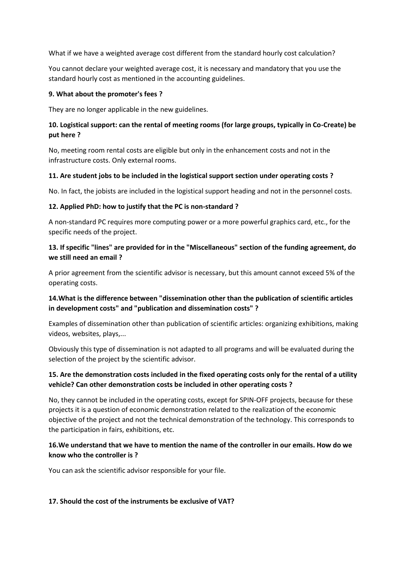What if we have a weighted average cost different from the standard hourly cost calculation?

You cannot declare your weighted average cost, it is necessary and mandatory that you use the standard hourly cost as mentioned in the accounting guidelines.

#### **9. What about the promoter's fees ?**

They are no longer applicable in the new guidelines.

## **10. Logistical support: can the rental of meeting rooms (for large groups, typically in Co-Create) be put here ?**

No, meeting room rental costs are eligible but only in the enhancement costs and not in the infrastructure costs. Only external rooms.

#### **11. Are student jobs to be included in the logistical support section under operating costs ?**

No. In fact, the jobists are included in the logistical support heading and not in the personnel costs.

#### **12. Applied PhD: how to justify that the PC is non-standard ?**

A non-standard PC requires more computing power or a more powerful graphics card, etc., for the specific needs of the project.

## **13. If specific "lines" are provided for in the "Miscellaneous" section of the funding agreement, do we still need an email ?**

A prior agreement from the scientific advisor is necessary, but this amount cannot exceed 5% of the operating costs.

# **14.What is the difference between "dissemination other than the publication of scientific articles in development costs" and "publication and dissemination costs" ?**

Examples of dissemination other than publication of scientific articles: organizing exhibitions, making videos, websites, plays,...

Obviously this type of dissemination is not adapted to all programs and will be evaluated during the selection of the project by the scientific advisor.

## **15. Are the demonstration costs included in the fixed operating costs only for the rental of a utility vehicle? Can other demonstration costs be included in other operating costs ?**

No, they cannot be included in the operating costs, except for SPIN-OFF projects, because for these projects it is a question of economic demonstration related to the realization of the economic objective of the project and not the technical demonstration of the technology. This corresponds to the participation in fairs, exhibitions, etc.

### **16.We understand that we have to mention the name of the controller in our emails. How do we know who the controller is ?**

You can ask the scientific advisor responsible for your file.

### **17. Should the cost of the instruments be exclusive of VAT?**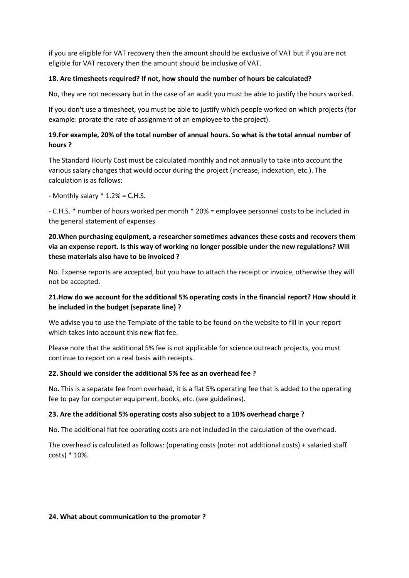if you are eligible for VAT recovery then the amount should be exclusive of VAT but if you are not eligible for VAT recovery then the amount should be inclusive of VAT.

#### **18. Are timesheets required? If not, how should the number of hours be calculated?**

No, they are not necessary but in the case of an audit you must be able to justify the hours worked.

If you don't use a timesheet, you must be able to justify which people worked on which projects (for example: prorate the rate of assignment of an employee to the project).

### **19.For example, 20% of the total number of annual hours. So what is the total annual number of hours ?**

The Standard Hourly Cost must be calculated monthly and not annually to take into account the various salary changes that would occur during the project (increase, indexation, etc.). The calculation is as follows:

- Monthly salary \* 1.2% = C.H.S.

- C.H.S. \* number of hours worked per month \* 20% = employee personnel costs to be included in the general statement of expenses

## **20.When purchasing equipment, a researcher sometimes advances these costs and recovers them via an expense report. Is this way of working no longer possible under the new regulations? Will these materials also have to be invoiced ?**

No. Expense reports are accepted, but you have to attach the receipt or invoice, otherwise they will not be accepted.

# **21.How do we account for the additional 5% operating costs in the financial report? How should it be included in the budget (separate line) ?**

We advise you to use the Template of the table to be found on the website to fill in your report which takes into account this new flat fee.

Please note that the additional 5% fee is not applicable for science outreach projects, you must continue to report on a real basis with receipts.

### **22. Should we consider the additional 5% fee as an overhead fee ?**

No. This is a separate fee from overhead, it is a flat 5% operating fee that is added to the operating fee to pay for computer equipment, books, etc. (see guidelines).

### **23. Are the additional 5% operating costs also subject to a 10% overhead charge ?**

No. The additional flat fee operating costs are not included in the calculation of the overhead.

The overhead is calculated as follows: (operating costs (note: not additional costs) + salaried staff costs) \* 10%.

#### **24. What about communication to the promoter ?**